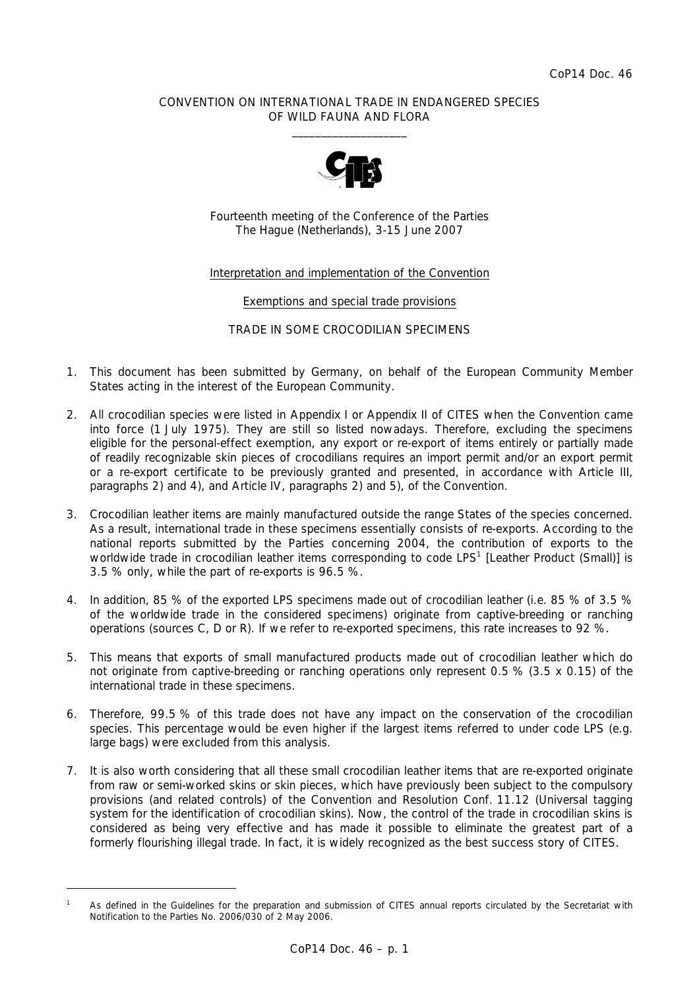### CONVENTION ON INTERNATIONAL TRADE IN ENDANGERED SPECIES OF WILD FAUNA AND FLORA  $\frac{1}{2}$  , and the set of the set of the set of the set of the set of the set of the set of the set of the set of the set of the set of the set of the set of the set of the set of the set of the set of the set of the set



Fourteenth meeting of the Conference of the Parties The Hague (Netherlands), 3-15 June 2007

### Interpretation and implementation of the Convention

Exemptions and special trade provisions

TRADE IN SOME CROCODILIAN SPECIMENS

- 1. This document has been submitted by Germany, on behalf of the European Community Member States acting in the interest of the European Community.
- 2. All crocodilian species were listed in Appendix I or Appendix II of CITES when the Convention came into force (1 July 1975). They are still so listed nowadays. Therefore, excluding the specimens eligible for the personal-effect exemption, any export or re-export of items entirely or partially made of readily recognizable skin pieces of crocodilians requires an import permit and/or an export permit or a re-export certificate to be previously granted and presented, in accordance with Article III, paragraphs 2) and 4), and Article IV, paragraphs 2) and 5), of the Convention.
- 3. Crocodilian leather items are mainly manufactured outside the range States of the species concerned. As a result, international trade in these specimens essentially consists of re-exports. According to the national reports submitted by the Parties concerning 2004, the contribution of exports to the worldwide trade in crocodilian leather items corresponding to code LPS<sup>1</sup> [Leather Product (Small)] is 3.5 % only, while the part of re-exports is 96.5 %.
- 4. In addition, 85 % of the exported LPS specimens made out of crocodilian leather (i.e. 85 % of 3.5 % of the worldwide trade in the considered specimens) originate from captive-breeding or ranching operations (sources C, D or R). If we refer to re-exported specimens, this rate increases to 92 %.
- 5. This means that exports of small manufactured products made out of crocodilian leather which do not originate from captive-breeding or ranching operations only represent 0.5 % (3.5 x 0.15) of the international trade in these specimens.
- 6. Therefore, 99.5 % of this trade does not have any impact on the conservation of the crocodilian species. This percentage would be even higher if the largest items referred to under code LPS (e.g. large bags) were excluded from this analysis.
- 7. It is also worth considering that all these small crocodilian leather items that are re-exported originate from raw or semi-worked skins or skin pieces, which have previously been subject to the compulsory provisions (and related controls) of the Convention and Resolution Conf. 11.12 (Universal tagging system for the identification of crocodilian skins). Now, the control of the trade in crocodilian skins is considered as being very effective and has made it possible to eliminate the greatest part of a formerly flourishing illegal trade. In fact, it is widely recognized as the best success story of CITES.

*<sup>1</sup> As defined in the* Guidelines for the preparation and submission of CITES annual reports *circulated by the Secretariat with Notification to the Parties No. 2006/030 of 2 May 2006.*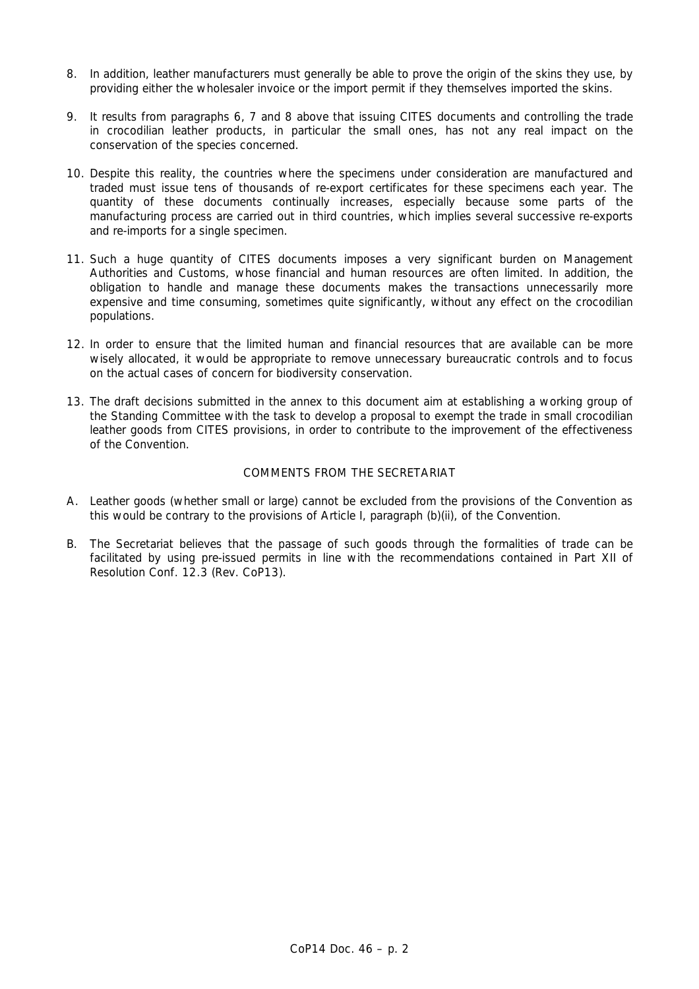- 8. In addition, leather manufacturers must generally be able to prove the origin of the skins they use, by providing either the wholesaler invoice or the import permit if they themselves imported the skins.
- 9. It results from paragraphs 6, 7 and 8 above that issuing CITES documents and controlling the trade in crocodilian leather products, in particular the small ones, has not any real impact on the conservation of the species concerned.
- 10. Despite this reality, the countries where the specimens under consideration are manufactured and traded must issue tens of thousands of re-export certificates for these specimens each year. The quantity of these documents continually increases, especially because some parts of the manufacturing process are carried out in third countries, which implies several successive re-exports and re-imports for a single specimen.
- 11. Such a huge quantity of CITES documents imposes a very significant burden on Management Authorities and Customs, whose financial and human resources are often limited. In addition, the obligation to handle and manage these documents makes the transactions unnecessarily more expensive and time consuming, sometimes quite significantly, without any effect on the crocodilian populations.
- 12. In order to ensure that the limited human and financial resources that are available can be more wisely allocated, it would be appropriate to remove unnecessary bureaucratic controls and to focus on the actual cases of concern for biodiversity conservation.
- 13. The draft decisions submitted in the annex to this document aim at establishing a working group of the Standing Committee with the task to develop a proposal to exempt the trade in small crocodilian leather goods from CITES provisions, in order to contribute to the improvement of the effectiveness of the Convention.

# COMMENTS FROM THE SECRETARIAT

- A. Leather goods (whether small or large) cannot be excluded from the provisions of the Convention as this would be contrary to the provisions of Article I, paragraph (b)(ii), of the Convention.
- B. The Secretariat believes that the passage of such goods through the formalities of trade can be facilitated by using pre-issued permits in line with the recommendations contained in Part XII of Resolution Conf. 12.3 (Rev. CoP13).